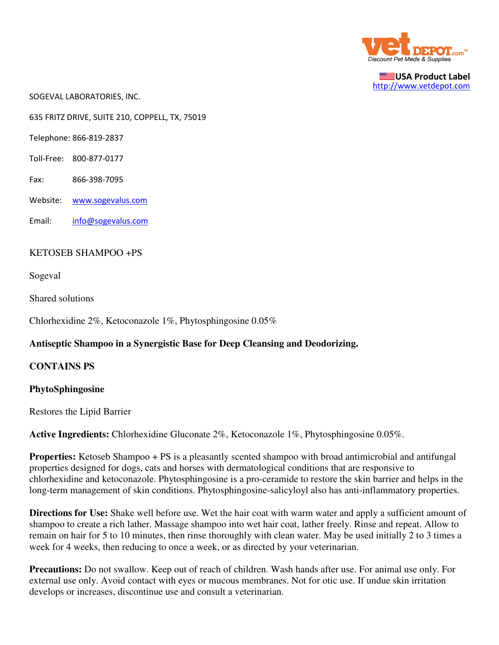

USA Product Label http://www.vetdepot.com

SOGEVAL LABORATORIES, INC.

635 FRITZ DRIVE, SUITE 210, COPPELL, TX, 75019

Telephone: 866-819-2837

- Toll-Free: 800-877-0177
- Fax: 866-398-7095
- Website: www.sogevalus.com
- Email: info@sogevalus.com

## KETOSEB SHAMPOO +PS

Sogeval

Shared solutions

Chlorhexidine 2%, Ketoconazole 1%, Phytosphingosine 0.05%

## **Antiseptic Shampoo in a Synergistic Base for Deep Cleansing and Deodorizing.**

## **CONTAINS PS**

## **PhytoSphingosine**

Restores the Lipid Barrier

**Active Ingredients:** Chlorhexidine Gluconate 2%, Ketoconazole 1%, Phytosphingosine 0.05%.

**Properties:** Ketoseb Shampoo + PS is a pleasantly scented shampoo with broad antimicrobial and antifungal properties designed for dogs, cats and horses with dermatological conditions that are responsive to chlorhexidine and ketoconazole. Phytosphingosine is a pro-ceramide to restore the skin barrier and helps in the long-term management of skin conditions. Phytosphingosine-salicyloyl also has anti-inflammatory properties.

**Directions for Use:** Shake well before use. Wet the hair coat with warm water and apply a sufficient amount of shampoo to create a rich lather. Massage shampoo into wet hair coat, lather freely. Rinse and repeat. Allow to remain on hair for 5 to 10 minutes, then rinse thoroughly with clean water. May be used initially 2 to 3 times a week for 4 weeks, then reducing to once a week, or as directed by your veterinarian.

**Precautions:** Do not swallow. Keep out of reach of children. Wash hands after use. For animal use only. For external use only. Avoid contact with eyes or mucous membranes. Not for otic use. If undue skin irritation develops or increases, discontinue use and consult a veterinarian.